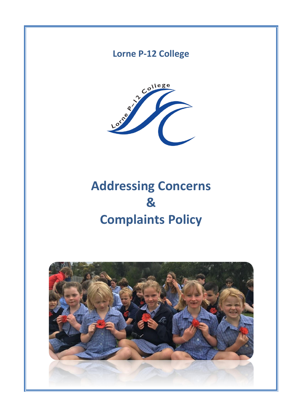# **Lorne P-12 College**



# **Addressing Concerns & Complaints Policy**

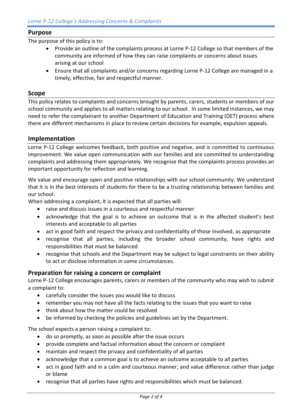#### **Purpose**

The purpose of this policy is to:

- Provide an outline of the complaints process at Lorne P-12 College so that members of the community are informed of how they can raise complaints or concerns about issues arising at our school
- Ensure that all complaints and/or concerns regarding Lorne P-12 College are managed in a timely, effective, fair and respectful manner.

#### **Scope**

This policy relates to complaints and concerns brought by parents, carers, students or members of our school community and applies to all matters relating to our school. In some limited instances, we may need to refer the complainant to another Department of Education and Training (DET) process where there are different mechanisms in place to review certain decisions for example, expulsion appeals.

#### **Implementation**

Lorne P-12 College welcomes feedback, both positive and negative, and is committed to continuous improvement. We value open communication with our families and are committed to understanding complaints and addressing them appropriately. We recognise that the complaints process provides an important opportunity for reflection and learning.

We value and encourage open and positive relationships with our school community. We understand that it is in the best interests of students for there to be a trusting relationship between families and our school.

When addressing a complaint, it is expected that all parties will:

- raise and discuss issues in a courteous and respectful manner
- acknowledge that the goal is to achieve an outcome that is in the affected student's best interests and acceptable to all parties
- act in good faith and respect the privacy and confidentiality of those involved, as appropriate
- recognise that all parties, including the broader school community, have rights and responsibilities that must be balanced
- recognise that schools and the Department may be subject to legal constraints on their ability to act or disclose information in some circumstances.

#### **Preparation for raising a concern or complaint**

Lorne P-12 College encourages parents, carers or members of the community who may wish to submit a complaint to:

- carefully consider the issues you would like to discuss
- remember you may not have all the facts relating to the issues that you want to raise
- think about how the matter could be resolved
- be informed by checking the policies and guidelines set by the Department.

The school expects a person raising a complaint to:

- do so promptly, as soon as possible after the issue occurs
- provide complete and factual information about the concern or complaint
- maintain and respect the privacy and confidentiality of all parties
- acknowledge that a common goal is to achieve an outcome acceptable to all parties
- act in good faith and in a calm and courteous manner, and value difference rather than judge or blame
- recognise that all parties have rights and responsibilities which must be balanced.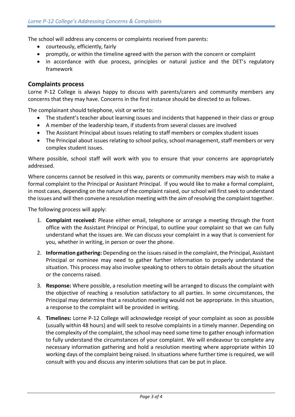The school will address any concerns or complaints received from parents:

- courteously, efficiently, fairly
- promptly, or within the timeline agreed with the person with the concern or complaint
- in accordance with due process, principles or natural justice and the DET's regulatory framework

#### **Complaints process**

Lorne P-12 College is always happy to discuss with parents/carers and community members any concerns that they may have. Concerns in the first instance should be directed to as follows.

The complainant should telephone, visit or write to:

- The student's teacher about learning issues and incidents that happened in their class or group
- A member of the leadership team, if students from several classes are involved
- The Assistant Principal about issues relating to staff members or complex student issues
- The Principal about issues relating to school policy, school management, staff members or very complex student issues.

Where possible, school staff will work with you to ensure that your concerns are appropriately addressed.

Where concerns cannot be resolved in this way, parents or community members may wish to make a formal complaint to the Principal or Assistant Principal. If you would like to make a formal complaint, in most cases, depending on the nature of the complaint raised, our school will first seek to understand the issues and will then convene a resolution meeting with the aim of resolving the complaint together.

The following process will apply:

- 1. **Complaint received:** Please either email, telephone or arrange a meeting through the front office with the Assistant Principal or Principal, to outline your complaint so that we can fully understand what the issues are. We can discuss your complaint in a way that is convenient for you, whether in writing, in person or over the phone.
- 2. **Information gathering:** Depending on the issues raised in the complaint, the Principal, Assistant Principal or nominee may need to gather further information to properly understand the situation. This process may also involve speaking to others to obtain details about the situation or the concerns raised.
- 3. **Response:** Where possible, a resolution meeting will be arranged to discuss the complaint with the objective of reaching a resolution satisfactory to all parties. In some circumstances, the Principal may determine that a resolution meeting would not be appropriate. In this situation, a response to the complaint will be provided in writing.
- 4. **Timelines:** Lorne P-12 College will acknowledge receipt of your complaint as soon as possible (usually within 48 hours) and will seek to resolve complaints in a timely manner. Depending on the complexity of the complaint, the school may need some time to gather enough information to fully understand the circumstances of your complaint. We will endeavour to complete any necessary information gathering and hold a resolution meeting where appropriate within 10 working days of the complaint being raised. In situations where further time is required, we will consult with you and discuss any interim solutions that can be put in place.